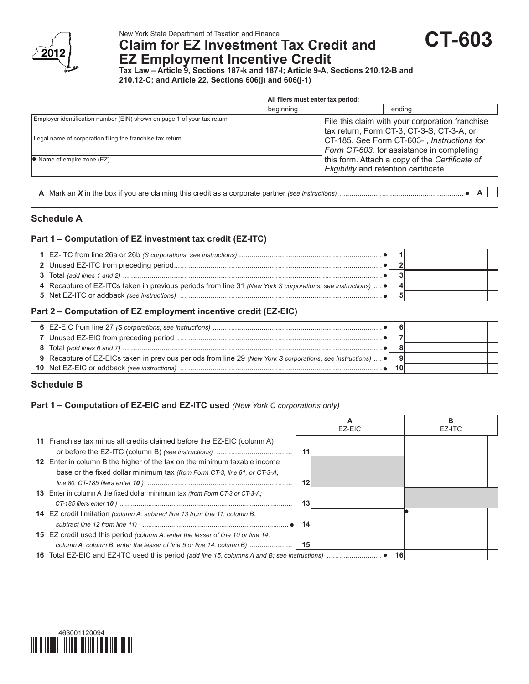

# **Claim for EZ Investment Tax Credit and**

**CT-603**

**EZ Employment Incentive Credit Tax Law – Article 9, Sections 187-k and 187-l; Article 9-A, Sections 210.12-B and** 

**210.12-C; and Article 22, Sections 606(j) and 606(j-1)**

|                                                                         | All filers must enter tax period: |                                                                                              |  |  |  |  |  |
|-------------------------------------------------------------------------|-----------------------------------|----------------------------------------------------------------------------------------------|--|--|--|--|--|
|                                                                         | beginning                         | ending                                                                                       |  |  |  |  |  |
| Employer identification number (EIN) shown on page 1 of your tax return |                                   | File this claim with your corporation franchise<br>tax return, Form CT-3, CT-3-S, CT-3-A, or |  |  |  |  |  |
| Legal name of corporation filing the franchise tax return               |                                   | CT-185. See Form CT-603-I, Instructions for<br>Form CT-603, for assistance in completing     |  |  |  |  |  |
| Name of empire zone (EZ)                                                |                                   | this form. Attach a copy of the Certificate of<br>Eligibility and retention certificate.     |  |  |  |  |  |
|                                                                         |                                   |                                                                                              |  |  |  |  |  |

**A** Mark an *X* in the box if you are claiming this credit as a corporate partner *(see instructions)* ............................................................. **A**

### **Schedule A**

#### **Part 1 – Computation of EZ investment tax credit (EZ-ITC)**

| 4 Recapture of EZ-ITCs taken in previous periods from line 31 (New York S corporations, see instructions) |  |
|-----------------------------------------------------------------------------------------------------------|--|
|                                                                                                           |  |
|                                                                                                           |  |

#### **Part 2 – Computation of EZ employment incentive credit (EZ-EIC)**

| 9 Recapture of EZ-EICs taken in previous periods from line 29 (New York S corporations, see instructions) $\dots$ . |  |  |
|---------------------------------------------------------------------------------------------------------------------|--|--|
|                                                                                                                     |  |  |
|                                                                                                                     |  |  |

## **Schedule B**

#### **Part 1 – Computation of EZ-EIC and EZ-ITC used** *(New York C corporations only)*

|                                                                                         |       | А<br>EZ-EIC |    | в<br>EZ-ITC |
|-----------------------------------------------------------------------------------------|-------|-------------|----|-------------|
| 11 Franchise tax minus all credits claimed before the EZ-EIC (column A)                 |       |             |    |             |
| 12 Enter in column B the higher of the tax on the minimum taxable income                | 11    |             |    |             |
| base or the fixed dollar minimum tax (from Form CT-3, line 81, or CT-3-A,               | 12    |             |    |             |
| <b>13</b> Enter in column A the fixed dollar minimum tax (from Form CT-3 or CT-3-A;     |       |             |    |             |
|                                                                                         | 13    |             |    |             |
| <b>14</b> EZ credit limitation (column A: subtract line 13 from line 11; column B:      | 14    |             |    |             |
| <b>15</b> EZ credit used this period (column A: enter the lesser of line 10 or line 14, |       |             |    |             |
|                                                                                         | - 151 |             |    |             |
|                                                                                         |       |             | 16 |             |

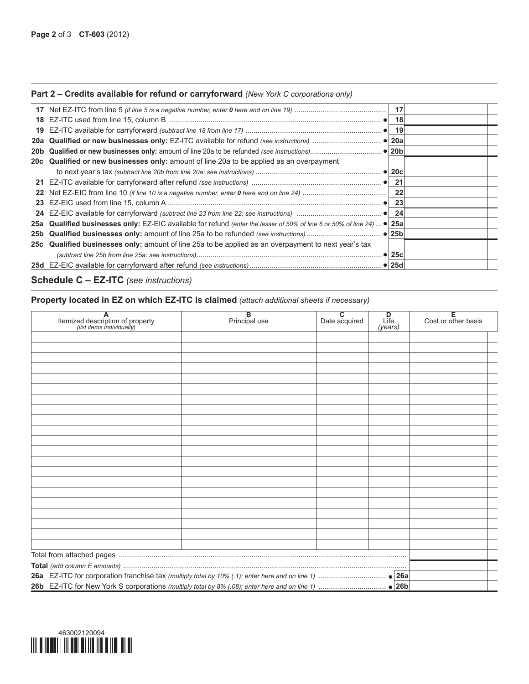#### **Part 2 – Credits available for refund or carryforward** *(New York C corporations only)*

|     |                                                                                                                  | -17        |  |
|-----|------------------------------------------------------------------------------------------------------------------|------------|--|
| 18  |                                                                                                                  | 18         |  |
| 19  |                                                                                                                  | -19        |  |
| 20a |                                                                                                                  |            |  |
|     |                                                                                                                  |            |  |
|     | 20c Qualified or new businesses only: amount of line 20a to be applied as an overpayment                         |            |  |
|     |                                                                                                                  |            |  |
|     |                                                                                                                  | 21         |  |
|     |                                                                                                                  | 22         |  |
| 23  |                                                                                                                  | 23         |  |
|     |                                                                                                                  | 24         |  |
|     | 25a Qualified businesses only: EZ-EIC available for refund (enter the lesser of 50% of line 6 or 50% of line 24) | <b>25a</b> |  |
|     |                                                                                                                  |            |  |
|     | 25c Qualified businesses only: amount of line 25a to be applied as an overpayment to next year's tax             |            |  |
|     |                                                                                                                  |            |  |
|     |                                                                                                                  |            |  |

# **Schedule C – EZ-ITC** *(see instructions)*

# **Property located in EZ on which EZ-ITC is claimed** *(attach additional sheets if necessary)*

| $\overline{A}$<br>Itemized description of property<br>(list items individually) | $\overline{B}$<br>Principal use | $\overline{\mathsf{c}}$<br>Date acquired | D<br>Life<br>(years) | Έ<br>Cost or other basis |
|---------------------------------------------------------------------------------|---------------------------------|------------------------------------------|----------------------|--------------------------|
|                                                                                 |                                 |                                          |                      |                          |
|                                                                                 |                                 |                                          |                      |                          |
|                                                                                 |                                 |                                          |                      |                          |
|                                                                                 |                                 |                                          |                      |                          |
|                                                                                 |                                 |                                          |                      |                          |
|                                                                                 |                                 |                                          |                      |                          |
|                                                                                 |                                 |                                          |                      |                          |
|                                                                                 |                                 |                                          |                      |                          |
|                                                                                 |                                 |                                          |                      |                          |
|                                                                                 |                                 |                                          |                      |                          |
|                                                                                 |                                 |                                          |                      |                          |
|                                                                                 |                                 |                                          |                      |                          |
|                                                                                 |                                 |                                          |                      |                          |
|                                                                                 |                                 |                                          |                      |                          |
|                                                                                 |                                 |                                          |                      |                          |
|                                                                                 |                                 |                                          |                      |                          |
|                                                                                 |                                 |                                          |                      |                          |
|                                                                                 |                                 |                                          |                      |                          |
|                                                                                 |                                 |                                          |                      |                          |
|                                                                                 |                                 |                                          |                      |                          |
|                                                                                 |                                 |                                          |                      |                          |
|                                                                                 |                                 |                                          |                      |                          |
|                                                                                 |                                 |                                          |                      |                          |
|                                                                                 |                                 |                                          |                      |                          |
|                                                                                 |                                 |                                          |                      |                          |
|                                                                                 |                                 |                                          |                      |                          |
|                                                                                 |                                 |                                          |                      |                          |